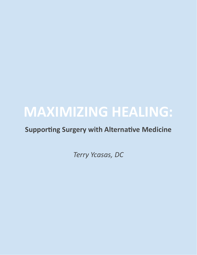# **MAXIMIZING HEALING:**

#### **Supporting Surgery with Alternative Medicine**

*Terry Ycasas, DC*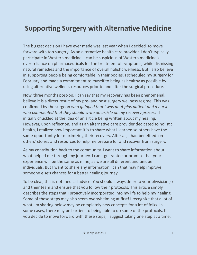### **Supporting Surgery with Alternative Medicine**

The biggest decision I have ever made was last year when I decided to move forward with top surgery. As an alternative health care provider, I don't typically participate in Western medicine. I can be suspicious of Western medicine's over-reliance on pharmaceuticals for the treatment of symptoms, while dismissing natural remedies and the importance of overall holistic wellness. But I also believe in supporting people being comfortable in their bodies. I scheduled my surgery for February and made a commitment to myself to being as healthy as possible by using alternative wellness resources prior to and after the surgical procedure.

Now, three months post-op, I can say that my recovery has been phenomenal. I believe it is a direct result of my pre- and post surgery wellness regime. This was confirmed by the surgeon *who quipped that I was an A-plus paent and a nurse who commented that they should write an arcle on my recovery process*! I initially chuckled at the idea of an article being written about my healing. However, upon reflection, and as an alternative care provider dedicated to holistic health, I realized how important it is to share what I learned so others have the same opportunity for maximizing their recovery. After all, I had benefited on others' stories and resources to help me prepare for and recover from surgery.

As my contribution back to the community, I want to share information about what helped me through my journey. I can't guarantee or promise that your experience will be the same as mine, as we are all different and unique individuals. But I want to share any information I can that may help improve someone else's chances for a better healing journey.

To be clear, this is not medical advice. You should always defer to your physician(s) and their team and ensure that you follow their protocols. This article simply describes the steps that I proactively incorporated into my life to help my healing. Some of these steps may also seem overwhelming at first! I recognize that a lot of what I'm sharing below may be completely new concepts for a lot of folks. In some cases, there may be barriers to being able to do some of the protocols. If you decide to move forward with these steps, I suggest taking one step at a time.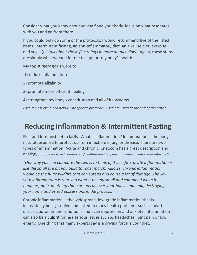Consider what you know about yourself and your body, focus on what resonates with you and go from there.

If you could only do some of the protocols, I would recommend five of the listed items: intermittent fasting, an anti-inflammatory diet, an alkaline diet, exercise, and yoga. (*I'll talk about those five things in more detail below*). Again, these steps are simply what worked for me to support my body's health.

My top surgery goals were to:

- 1) reduce inflammation
- 2) promote alkalinity
- 3) promote more efficient healing
- 4) strengthen my body's constitution and all of its systems

*Each topic is explained below. The specific protocols I used are listed at the end of the article* 

## **Reducing Inflammation & Intermittent Fasting**

First and foremost, let's clarify: What is inflammation? Inflammation is the body's natural response to protect us from infection, injury, or disease. There are two types of inflammation: Acute and chronic. Cnet.com has a great description and analogy (https://www.cnet.com/how-to/what-is-an-anti-inflammation-diet-and-how-does-it-work/):

*"One* way you can compare the two is to think of it as a fire: acute inflammation is *like the small fire pit you build to roast marshmallows; chronic inflammation would be the huge wildfire that can spread and cause a lot of damage. The key with inflammation is that you want it to stay small and contained when it happens, not something that spreads all over your house and land, destroying your home and prized possessions in the process.*

Chronic inflammation is the widespread, low-grade inflammation that is increasingly being studied and linked to many health problems such as [heart](https://www.heart.org/en/health-topics/consumer-healthcare/what-is-cardiovascular-disease/inflammation-and-heart-disease) [disease](https://www.heart.org/en/health-topics/consumer-healthcare/what-is-cardiovascular-disease/inflammation-and-heart-disease), [autoimmune](https://vector.childrenshospital.org/2018/02/mda5-autoinflammatory-disease/) conditions and even [depression](https://www.psychologytoday.com/us/blog/neuroscience-in-everyday-life/201810/the-brain-fire-depression-and-inflammation) and [anxiety.](https://www.ncbi.nlm.nih.gov/pmc/articles/PMC3641413/) Inflammation can also be a culprit for less serious issues such as [headaches](https://www.mayoclinic.org/diseases-conditions/chronic-daily-headaches/symptoms-causes/syc-20370891), [joint](https://www.healthline.com/health/joint-pain#causes) pain or [low](https://www.ncbi.nlm.nih.gov/pmc/articles/PMC6658985/) [energy.](https://www.ncbi.nlm.nih.gov/pmc/articles/PMC6658985/) One thing that many experts say is a driving force is [your](https://www.mayoclinic.org/healthy-lifestyle/nutrition-and-healthy-eating/in-depth/how-to-use-food-to-help-your-body-fight-inflammation/art-20457586) diet.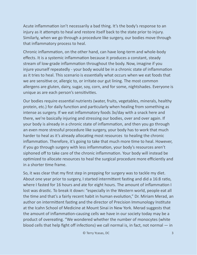Acute inflammation isn't necessarily a bad thing. It's the body's response to an injury as it attempts to heal and restore itself back to the state prior to injury. Similarly, when we go through a procedure like surgery, our bodies move through that inflammatory process to heal.

Chronic inflammation, on the other hand, can have long-term and whole-body effects. It is a systemic inflammation because it produces a constant, steady stream of low-grade inflammation throughout the body. Now, imagine if you injure yourself repeatedly - your body would be in a chronic state of inflammation as it tries to heal. This scenario is essentially what occurs when we eat foods that we are sensitive or, allergic to, or irritate our gut lining. The most common allergens are gluten, dairy, sugar, soy, corn, and for some, nightshades. Everyone is unique as are each person's sensitivities.

Our bodies require essential nutrients (water, fruits, vegetables, minerals, healthy protein, etc.) for daily function and particularly when healing from something as intense as surgery. If we eat inflammatory foods 3x/day with a snack here and there, we're basically injuring and stressing our bodies, over and over again. If your body is already in a chronic state of inflammation, and then you go through an even more stressful procedure like surgery, your body has to work that much harder to heal as it's already allocating most resources to healing the chronic inflammation. Therefore, it's going to take that much more time to heal. However, if you go through surgery with less inflammation, your body's resources aren't siphoned off to take care of the chronic inflammation. Your body will instead be optimized to allocate resources to heal the surgical procedure more efficiently and in a shorter time frame.

So, it was clear that my first step in prepping for surgery was to tackle my diet. About one year prior to surgery, I started intermittent fasting and did a 16:8 ratio, where I fasted for 16 hours and ate for eight hours. The amount of inflammation I lost was drastic. To break it down: "especially in the Western world, people eat all the time and that's a fairly recent habit in human evolution," Dr. Miriam Merad, an author on intermittent fasting and the director of Precision Immunology Institute at the Icahn School of Medicine at Mount Sinai in New York. Merad suggests that the amount of inflammation-causing cells we have in our society today may be a product of overeating. "We wondered whether the number of monocytes (white blood cells that help fight off infections) we call normal is, in fact, not normal  $-$  in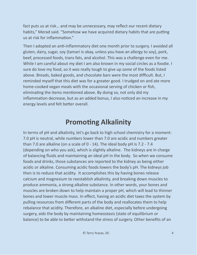fact puts us at risk… and may be unnecessary, may reflect our recent dietary habits," Merad said. "Somehow we have acquired dietary habits that are putting us at risk for inflammation."

Then I adopted an anti-inflammatory diet one month prior to surgery. I avoided all gluten, dairy, sugar, soy (tamari is okay, unless you have an allergy to soy), pork, beef, processed foods, trans fats, and alcohol. This was a challenge even for me. While I am careful about my diet I am also known in my social circles as a foodie. I sure do love my food, so it *was* really tough to give up *some* of the foods listed above. Breads, baked goods, and chocolate bars were the most difficult. But, I reminded myself that this diet was for a greater good. I trudged on and ate more home-cooked vegan meals with the occasional serving of chicken or fish, eliminating the items mentioned above. By doing so, not only did my inflammation decrease, but as an added bonus, I also noticed an increase in my energy levels and felt better overall.

#### **Promoting Alkalinity**

In terms of pH and alkalinity, let's go back to high school chemistry for a moment: 7.0 pH is neutral, while numbers lower than 7.0 are acidic and numbers greater than 7.0 are alkaline (on a scale of 0 - 14). The ideal body pH is 7.2 - 7.4 (depending on who you ask), which is slightly alkaline. The kidneys are in charge of balancing fluids and maintaining an ideal pH in the body. So when we consume foods and drinks, those substances are reported to the kidney as being either acidic or alkaline. Consuming acidic foods lowers the body's pH. The kidneys job then is to reduce that acidity. It accomplishes this by having bones release calcium and magnesium to reestablish alkalinity, and breaking down muscles to produce ammonia, a strong alkaline substance. In other words, your bones and muscles are broken down to help maintain a proper pH, which will lead to thinner bones and lower muscle mass. In effect, having an acidic diet taxes the system by pulling resources from different parts of the body and reallocates them to help rebalance that acidity. Therefore, an alkaline diet, especially before undergoing surgery, aids the body by maintaining homeostasis (state of equilibrium or balance) to be able to better withstand the stress of surgery. Other benefits of an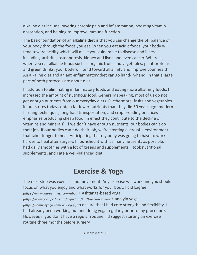alkaline diet include lowering chronic pain and inflammation, boosting vitamin absorption, and helping to improve immune function.

The basic foundation of an alkaline diet is that you can change the pH balance of your body through the foods you eat. When you eat acidic foods, your body will tend toward acidity which will make you vulnerable to disease and illness, including, arthritis, osteoporosis, kidney and liver, and even cancer. Whereas, when you eat alkaline foods such as organic fruits and vegetables, plant proteins, and green drinks, your body will tend toward alkalinity and improve your health. An alkaline diet and an anti-inflammatory diet can go hand-in-hand, in that a large part of both protocols are about diet.

In addition to eliminating inflammatory foods and eating more alkalizing foods, I increased the amount of nutritious food. Generally speaking, most of us do not get enough nutrients from our everyday diets. Furthermore, fruits and vegetables in our stores today contain far fewer nutrients than they did 50 years ago (modern farming techniques, long-haul transportation, and crop breeding practices emphasize producing cheap food; in effect they contribute to the decline of vitamins and minerals). If we don't have enough nutrients, our bodies can't do their job. If our bodies can't do their job, we're creating a stressful environment that takes longer to heal. Anticipating that my body was going to have to work harder to heal after surgery, I nourished it with as many nutrients as possible: I had daily smoothies with a lot of greens and supplements, I took nutritional supplements, and I ate a well-balanced diet.

#### **Exercise & Yoga**

The next step was exercise and movement. Any exercise will work and you should focus on what you enjoy and what works for your body. I did Lagree *(https://www.lagreefitness.com/about)*, Ashtanga-based yoga *(https://www.yogapedia.com/definition/4979/ashtanga-yoga)*, and yin yoga *(https://somuchyoga.com/yin-yoga/*) to ensure that I had core strength and flexibility. I had already been working out and doing yoga regularly prior to my procedure. However, if you don't have a regular routine, I'd suggest starting an exercise routine three months before surgery.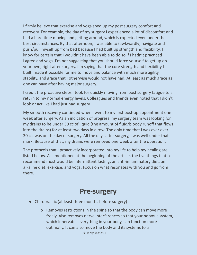I firmly believe that exercise and yoga sped up my post surgery comfort and recovery. For example, the day of my surgery I experienced a lot of discomfort and had a hard time moving and getting around, which is expected even under the best circumstances. By that afternoon, I was able to (awkwardly) navigate and push/pull myself up from bed because I had built up strength and flexibility. I know for certain that I wouldn't have been able to do so if I hadn't practiced Lagree and yoga. I'm not suggesting that you should force yourself to get up on your own, right after surgery. I'm saying that the core strength and flexibility I built, made it possible for me to move and balance with much more agility, stability, and grace that I otherwise would not have had. At least as much grace as one can have after having major surgery.

I credit the proactive steps I took for quickly moving from post surgery fatigue to a return to my normal energy levels. Colleagues and friends even noted that I didn't look or act like I had just had surgery.

My smooth recovery continued when I went to my first post-op appointment one week after surgery. As an indication of progress, my surgery team was looking for my drains to be under 30 cc of liquid (the amount of fluid/bloody runoff that flows into the drains) for at least two days in a row. The only time that I was ever over 30 cc, was on the day of surgery. All the days after surgery, I was well under that mark. Because of that, my drains were removed one week after the operation.

The protocols that I proactively incorporated into my life to help my healing are listed below. As I mentioned at the beginning of the article, the five things that I'd recommend most would be intermittent fasting, an anti-inflammatory diet, an alkaline diet, exercise, and yoga. Focus on what resonates with you and go from there.

#### **Pre-surgery**

- Chiropractic (at least three months before surgery)
	- o Removes restrictions in the spine so that the body can move more freely. Also removes nerve interferences so that your nervous system, which innervates everything in your body, can function more optimally. It can also move the body and its systems to a © Terry Ycasas, DC 6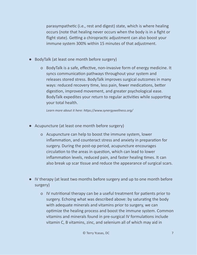parasympathetic (i.e., rest and digest) state, which is where healing occurs (note that healing never occurs when the body is in a fight or flight state). Getting a chiropractic adjustment can also boost your immune system 300% within 15 minutes of that adjustment.

- BodyTalk (at least one month before surgery)
	- o BodyTalk is a safe, effective, non-invasive form of energy medicine. It syncs communication pathways throughout your system and releases stored stress. BodyTalk improves surgical outcomes in many ways: reduced recovery time, less pain, fewer medications, better digestion, improved movement, and greater psychological ease. BodyTalk expedites your return to regular activities while supporting your total health.

*Learn more about it here: [hps://www.synergywellness.org/](https://www.synergywellness.org/)*

- Acupuncture (at least one month before surgery)
	- o Acupuncture can help to boost the immune system, lower inflammation, and counteract stress and anxiety in preparation for surgery. During the post-op period, acupuncture encourages circulation to the areas in question, which can lead to lower inflammation levels, reduced pain, and faster healing times. It can also break up scar tissue and reduce the appearance of surgical scars.
- IV therapy (at least two months before surgery and up to one month before surgery)
	- o IV nutritional therapy can be a useful treatment for patients prior to surgery. Echoing what was described above: by saturating the body with adequate minerals and vitamins prior to surgery, we can optimize the healing process and boost the immune system. Common vitamins and minerals found in pre-surgical IV formulations include vitamin C, B vitamins, zinc, and selenium all of which may aid in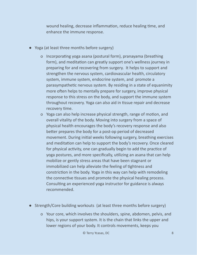wound healing, decrease inflammation, reduce healing time, and enhance the immune response.

- Yoga (at least three months before surgery)
	- o Incorporating yoga asana (postural form), pranayama (breathing form), and meditation can greatly support one's wellness journey in preparing for and recovering from surgery. It helps to support and strengthen the nervous system, cardiovascular health, circulatory system, immune system, endocrine system, and promote a parasympathetic nervous system. By residing in a state of equanimity more often helps to mentally prepare for surgery, improve physical response to this stress on the body, and support the immune system throughout recovery. Yoga can also aid in tissue repair and decrease recovery time.
	- o Yoga can also help increase physical strength, range of motion, and overall vitality of the body. Moving into surgery from a space of physical health encourages the body's recovery response and also better prepares the body for a post-op period of decreased movement. During initial weeks following surgery, breathing exercises and meditation can help to support the body's recovery. Once cleared for physical activity, one can gradually begin to add the practice of yoga postures, and more specifically, utilizing an asana that can help mobilize or gently stress areas that have been stagnant or immobilized can help alleviate the feeling of tightness and constriction in the body. Yoga in this way can help with remodeling the connective tissues and promote the physical healing process. Consulting an experienced yoga instructor for guidance is always recommended.
- Strength/Core building workouts (at least three months before surgery)
	- o Your core, which involves the shoulders, spine, abdomen, pelvis, and hips, is your support system. It is the chain that links the upper and lower regions of your body. It controls movements, keeps you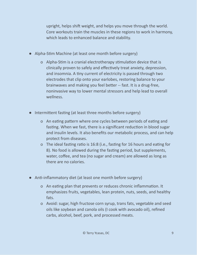upright, helps shift weight, and helps you move through the world. Core workouts train the muscles in these regions to work in harmony, which leads to enhanced balance and stability.

- Alpha-Stim Machine (at least one month before surgery)
	- o Alpha-Stim is a cranial electrotherapy stimulation device that is clinically proven to safely and effectively treat anxiety, depression, and insomnia. A tiny current of electricity is passed through two electrodes that clip onto your earlobes, restoring balance to your brainwaves and making you feel better -- fast. It is a drug-free, noninvasive way to lower mental stressors and help lead to overall wellness.
- Intermittent fasting (at least three months before surgery)
	- o An eating pattern where one cycles between periods of eating and fasting. When we fast, there is a significant reduction in blood sugar and insulin levels. It also benefits our metabolic process, and can help protect from diseases.
	- o The ideal fasting ratio is 16:8 (i.e., fasting for 16 hours and eating for 8). No food is allowed during the fasting period, but supplements, water, coffee, and tea (no sugar and cream) are allowed as long as there are no calories.
- Anti-inflammatory diet (at least one month before surgery)
	- o An eating plan that prevents or reduces chronic inflammation. It emphasizes fruits, vegetables, lean protein, nuts, seeds, and healthy fats.
	- o Avoid: sugar, high fructose corn syrup, trans fats, vegetable and seed oils like soybean and canola oils (I cook with avocado oil), refined carbs, alcohol, beef, pork, and processed meats.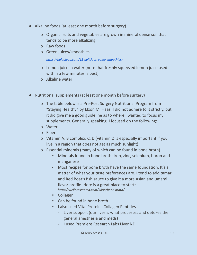- Alkaline foods (at least one month before surgery)
	- o Organic fruits and vegetables are grown in mineral dense soil that tends to be more alkalizing.
	- o Raw foods
	- o Green juices/smoothies

https://paleoleap.com/15-delicious-paleo-smoothies/

- o Lemon juice in water (note that freshly squeezed lemon juice used within a few minutes is best)
- o Alkaline water
- Nutritional supplements (at least one month before surgery)
	- o The table below is a Pre-Post Surgery Nutritional Program from "Staying Healthy" by Elxon M. Haas. I did not adhere to it strictly, but it did give me a good guideline as to where I wanted to focus my supplements. Generally speaking, I focused on the following:
	- o Water
	- o Fiber
	- o Vitamin A, B complex, C, D (vitamin D is especially important if you live in a region that does not get as much sunlight)
	- o Essential minerals (many of which can be found in bone broth)
		- Minerals found in bone broth: iron, zinc, selenium, boron and manganese
		- Most recipes for bone broth have the same foundation. It's a matter of what your taste preferences are. I tend to add tamari and Red Boat's fish sauce to give it a more Asian and umami flavor profile. Here is a great place to start: https://wellnessmama.com/5888/bone-broth/
		- Collagen
		- Can be found in bone broth
		- **.** I also used Vital Proteins Collagen Peptides
			- Liver support (our liver is what processes and detoxes the general anesthesia and meds)
			- I used Premiere Research Labs Liver ND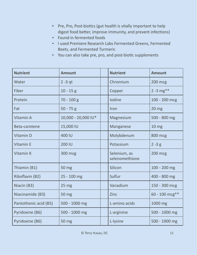- **•** Pre, Pro, Post-biotics (gut health is vitally important to help digest food better, improve immunity, and prevent infections)
- Found in fermented foods
- I used Premiere Research Labs Fermented Greens, Fermented Beets, and Fermented Turmeric
- You can also take pre, pro, and post-biotic supplements

| <b>Nutrient</b>       | <b>Amount</b>       | <b>Nutrient</b>                | <b>Amount</b>    |
|-----------------------|---------------------|--------------------------------|------------------|
| Water                 | $2 - 3$ qt          | Chromium                       | <b>200 mcg</b>   |
| Fiber                 | $10 - 15g$          | Copper                         | $2 - 3$ mg**     |
| Protein               | 70 - 100 g          | Iodine                         | 100 - 200 mcg    |
| Fat                   | $50 - 75$ g         | Iron                           | 20 <sub>mg</sub> |
| Vitamin A             | 10,000 - 20,000 IU* | Magnesium                      | 500 - 800 mg     |
| Beta-carotene         | 15,000 IU           | Manganese                      | 10 <sub>mg</sub> |
| Vitamin D             | 400 IU              | Molybdenum                     | 800 mcg          |
| <b>Vitamin E</b>      | <b>200 IU</b>       | Potassium                      | $2 - 3 g$        |
| Vitamin K             | 300 mcg             | Selenium, as<br>selenomethione | <b>200 mcg</b>   |
| Thiamin (B1)          | 50 mg               | Silicon                        | 100 - 200 mg     |
| Riboflavin (B2)       | 25 - 100 mg         | Sulfur                         | 400 - 800 mg     |
| Niacin (B3)           | 25 <sub>mg</sub>    | Vanadium                       | 150 - 300 mcg    |
| Niacinamide (B3)      | 50 mg               | Zinc                           | $60 - 100$ mcg** |
| Pantothenic acid (B5) | 500 - 1000 mg       | L-amino acids                  | 1000 mg          |
| Pyridoxine (B6)       | 500 - 1000 mg       | L-arginine                     | 500 - 1000 mg    |
| Pyridoxine (B6)       | 50 mg               | L-lysine                       | 500 - 1000 mg    |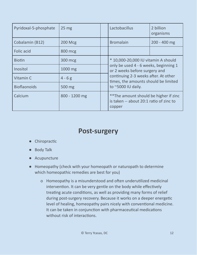| Pyridoxal-5-phosphate | 25 <sub>mg</sub> |  | Lactobacillus                                                                                                 | 2 billion<br>organisms |  |
|-----------------------|------------------|--|---------------------------------------------------------------------------------------------------------------|------------------------|--|
| Cobalamin (B12)       | <b>200 Mcg</b>   |  | <b>Bromalain</b>                                                                                              | 200 - 400 mg           |  |
| <b>Folic acid</b>     | 800 mcg          |  |                                                                                                               |                        |  |
| <b>Biotin</b>         | 300 mcg          |  | * 10,000-20,000 IU vitamin A should<br>only be used 4 - 6 weeks, beginning 1<br>or 2 weeks before surgery and |                        |  |
| Inositol              | 1000 mg          |  |                                                                                                               |                        |  |
| Vitamin C             | $4 - 6g$         |  | continuing 2-3 weeks after. At other<br>times, the amounts should be limited                                  |                        |  |
| <b>Bioflaonoids</b>   | 500 mg           |  | to $^{\sim}$ 5000 IU daily.                                                                                   |                        |  |
| Calcium               | 800 - 1200 mg    |  | ** The amount should be higher if zinc<br>is taken -- about 20:1 ratio of zinc to<br>copper                   |                        |  |

#### **Post-surgery**

- Chiropractic
- Body Talk
- Acupuncture
- Homeopathy (check with your homeopath or naturopath to determine which homeopathic remedies are best for you)
	- o Homeopathy is a misunderstood and often underutilized medicinal intervention. It can be very gentle on the body while effectively treating acute conditions, as well as providing many forms of relief during post-surgery recovery. Because it works on a deeper energetic level of healing, homeopathy pairs nicely with conventional medicine. It can be taken in conjunction with pharmaceutical medications without risk of interactions.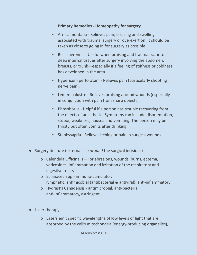#### **Primary Remedies - Homeopathy for surgery**

- Arnica montana Relieves pain, bruising and swelling associated with trauma, surgery or overexertion. It should be taken as close to going in for surgery as possible.
- Bellis perennis Useful when bruising and trauma occur to deep internal tissues after surgery involving the abdomen, breasts, or trunk—especially if a feeling of stiffness or coldness has developed in the area.
- Hypericum perforatum Relieves pain (particularly shooting nerve pain).
- Ledum palustre Relieves bruising around wounds (especially in conjunction with pain from sharp objects).
- Phosphorus Helpful if a person has trouble recovering from the effects of anesthesia. Symptoms can include disorientation, stupor, weakness, nausea and vomiting. The person may be thirsty but often vomits after drinking.
- Staphysagria Relieves itching or pain in surgical wounds.
- Surgery tincture (external use *around* the surgical incisions)
	- o Calendula Officinalis For abrasions, wounds, burns, eczema, varicosities, inflammation and irritation of the respiratory and digestive tracts
	- o Echinacea Spp immuno-stimulator, lymphatic, antimicobial (antibacterial & antiviral), anti-inflammatory
	- o Hydrastis Canadensis antimicrobial, anti-bacterial, anti-inflammatory, astringent
- Laser therapy
	- o Lasers emit specific wavelengths of low levels of light that are absorbed by the cell's mitochondria (energy-producing organelles),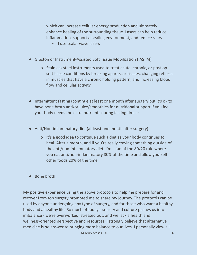which can increase cellular energy production and ultimately enhance healing of the surrounding tissue. Lasers can help reduce inflammation, support a healing environment, and reduce scars.

- **·** I use scalar wave lasers
- Graston or Instrument-Assisted Soft Tissue Mobilization (IASTM)
	- o Stainless steel instruments used to treat acute, chronic, or post-op soft tissue conditions by breaking apart scar tissues, changing reflexes in muscles that have a chronic holding pattern, and increasing blood flow and cellular activity
- Intermittent fasting (continue at least one month after surgery but it's ok to have bone broth and/or juice/smoothies for nutritional support if you feel your body needs the extra nutrients during fasting times)
- Anti/Non-inflammatory diet (at least one month after surgery)
	- o It's a good idea to continue such a diet as your body continues to heal. After a month, and if you're really craving something outside of the anti/non-inflammatory diet, I'm a fan of the 80/20 rule where you eat anti/non-inflammatory 80% of the time and allow yourself other foods 20% of the time
- Bone broth

My positive experience using the above protocols to help me prepare for and recover from top surgery prompted me to share my journey. The protocols can be used by anyone undergoing any type of surgery, and for those who want a healthy body and a healthy life. So much of today's society and culture pushes us into imbalance - we're overworked, stressed out, and we lack a health and wellness-oriented perspective and resources. I strongly believe that alternative medicine is *an* answer to bringing more balance to our lives. I personally view all